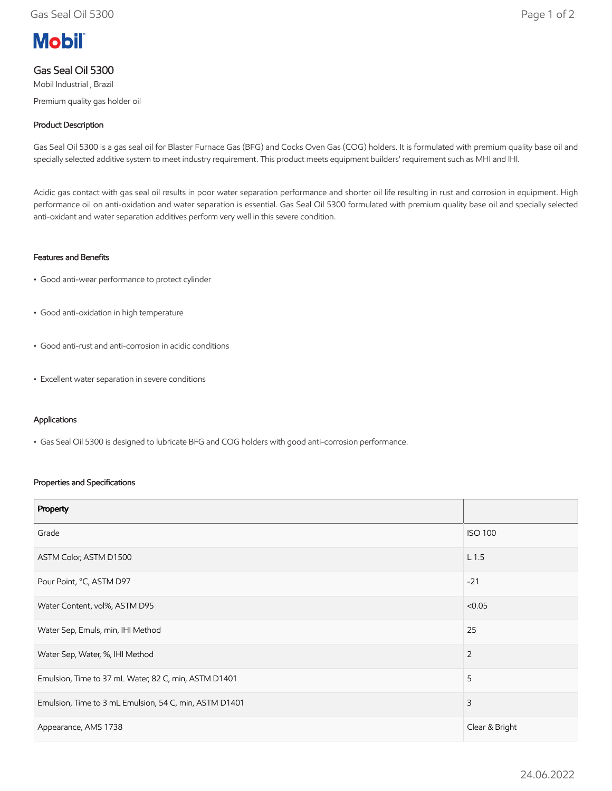# **Mobil**

## Gas Seal Oil 5300

Mobil Industrial , Brazil Premium quality gas holder oil

#### Product Description

Gas Seal Oil 5300 is a gas seal oil for Blaster Furnace Gas (BFG) and Cocks Oven Gas (COG) holders. It is formulated with premium quality base oil and specially selected additive system to meet industry requirement. This product meets equipment builders' requirement such as MHI and IHI.

Acidic gas contact with gas seal oil results in poor water separation performance and shorter oil life resulting in rust and corrosion in equipment. High performance oil on anti-oxidation and water separation is essential. Gas Seal Oil 5300 formulated with premium quality base oil and specially selected anti-oxidant and water separation additives perform very well in this severe condition.

#### Features and Benefits

- Good anti-wear performance to protect cylinder
- Good anti-oxidation in high temperature
- Good anti-rust and anti-corrosion in acidic conditions
- Excellent water separation in severe conditions

#### Applications

• Gas Seal Oil 5300 is designed to lubricate BFG and COG holders with good anti-corrosion performance.

#### Properties and Specifications

| Property                                               |                  |
|--------------------------------------------------------|------------------|
| Grade                                                  | <b>ISO 100</b>   |
| ASTM Color, ASTM D1500                                 | L <sub>1.5</sub> |
| Pour Point, °C, ASTM D97                               | $-21$            |
| Water Content, vol%, ASTM D95                          | < 0.05           |
| Water Sep, Emuls, min, IHI Method                      | 25               |
| Water Sep, Water, %, IHI Method                        | 2                |
| Emulsion, Time to 37 mL Water, 82 C, min, ASTM D1401   | 5                |
| Emulsion, Time to 3 mL Emulsion, 54 C, min, ASTM D1401 | 3                |
| Appearance, AMS 1738                                   | Clear & Bright   |